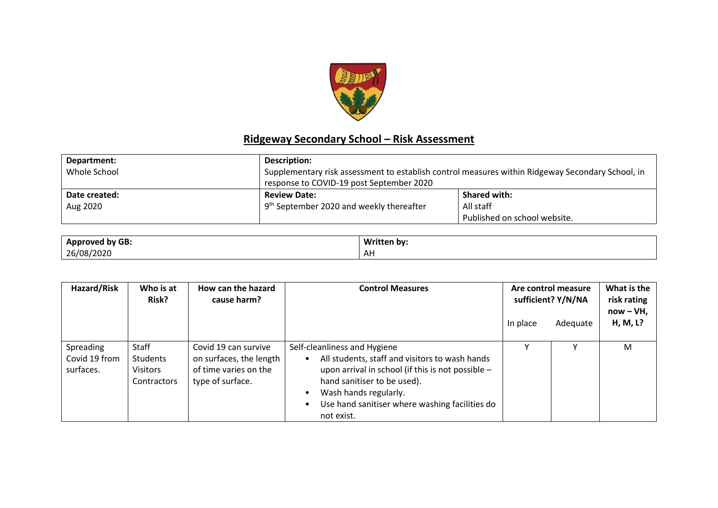

## **Ridgeway Secondary School – Risk Assessment**

| Department:   | Description:                                                                                     |                              |  |  |
|---------------|--------------------------------------------------------------------------------------------------|------------------------------|--|--|
| Whole School  | Supplementary risk assessment to establish control measures within Ridgeway Secondary School, in |                              |  |  |
|               | response to COVID-19 post September 2020                                                         |                              |  |  |
| Date created: | <b>Review Date:</b>                                                                              | <b>Shared with:</b>          |  |  |
| Aug 2020      | 9 <sup>th</sup> September 2020 and weekly thereafter                                             | All staff                    |  |  |
|               |                                                                                                  | Published on school website. |  |  |

| <b>I</b> by GB: | <b>Writt</b> |
|-----------------|--------------|
| Annroved        | itten bv:    |
| <b>Appr</b>     |              |
| 26/08/<br>/2020 | AF           |

| Hazard/Risk                             | Who is at<br>Risk?                                  | How can the hazard<br>cause harm?                                                            | <b>Control Measures</b>                                                                                                                                                                                                                                     | In place | Are control measure<br>sufficient? Y/N/NA<br>Adequate | What is the<br>risk rating<br>$now - VH$ ,<br>H, M, L? |
|-----------------------------------------|-----------------------------------------------------|----------------------------------------------------------------------------------------------|-------------------------------------------------------------------------------------------------------------------------------------------------------------------------------------------------------------------------------------------------------------|----------|-------------------------------------------------------|--------------------------------------------------------|
| Spreading<br>Covid 19 from<br>surfaces. | Staff<br>Students<br><b>Visitors</b><br>Contractors | Covid 19 can survive<br>on surfaces, the length<br>of time varies on the<br>type of surface. | Self-cleanliness and Hygiene<br>All students, staff and visitors to wash hands<br>upon arrival in school (if this is not possible -<br>hand sanitiser to be used).<br>Wash hands regularly.<br>Use hand sanitiser where washing facilities do<br>not exist. |          |                                                       | M                                                      |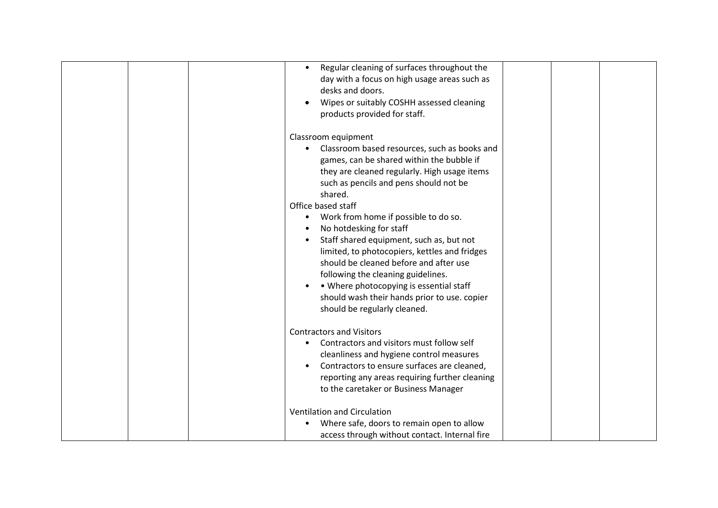| Regular cleaning of surfaces throughout the<br>$\bullet$<br>day with a focus on high usage areas such as<br>desks and doors.<br>Wipes or suitably COSHH assessed cleaning<br>products provided for staff.                                                                                                                                                                                                                                                                                                                                                                                                                           |  |  |
|-------------------------------------------------------------------------------------------------------------------------------------------------------------------------------------------------------------------------------------------------------------------------------------------------------------------------------------------------------------------------------------------------------------------------------------------------------------------------------------------------------------------------------------------------------------------------------------------------------------------------------------|--|--|
| Classroom equipment<br>Classroom based resources, such as books and<br>games, can be shared within the bubble if<br>they are cleaned regularly. High usage items<br>such as pencils and pens should not be<br>shared.<br>Office based staff<br>Work from home if possible to do so.<br>$\bullet$<br>No hotdesking for staff<br>Staff shared equipment, such as, but not<br>limited, to photocopiers, kettles and fridges<br>should be cleaned before and after use<br>following the cleaning guidelines.<br>• Where photocopying is essential staff<br>should wash their hands prior to use. copier<br>should be regularly cleaned. |  |  |
| <b>Contractors and Visitors</b><br>Contractors and visitors must follow self<br>$\bullet$<br>cleanliness and hygiene control measures<br>Contractors to ensure surfaces are cleaned,<br>reporting any areas requiring further cleaning<br>to the caretaker or Business Manager<br>Ventilation and Circulation<br>Where safe, doors to remain open to allow<br>access through without contact. Internal fire                                                                                                                                                                                                                         |  |  |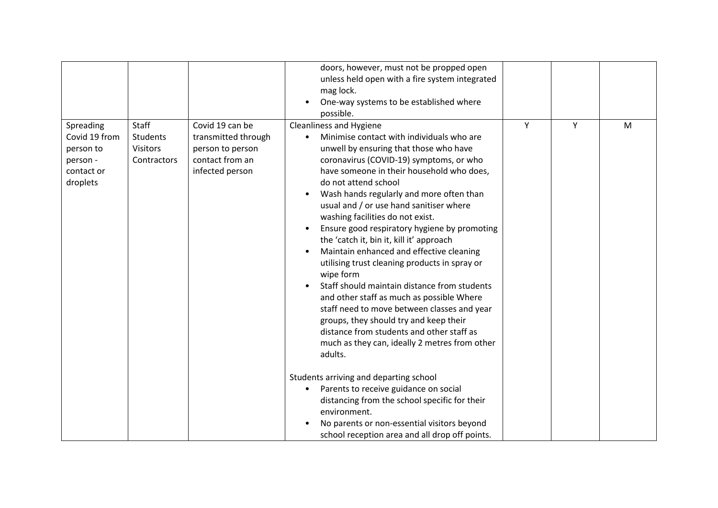|                                                                               |                                                                   |                                                                                                  | doors, however, must not be propped open<br>unless held open with a fire system integrated<br>mag lock.<br>One-way systems to be established where<br>possible.                                                                                                                                                                                                                                                                                                                                                                                                                                                                                                                                                                                                                                                                                                |   |   |   |
|-------------------------------------------------------------------------------|-------------------------------------------------------------------|--------------------------------------------------------------------------------------------------|----------------------------------------------------------------------------------------------------------------------------------------------------------------------------------------------------------------------------------------------------------------------------------------------------------------------------------------------------------------------------------------------------------------------------------------------------------------------------------------------------------------------------------------------------------------------------------------------------------------------------------------------------------------------------------------------------------------------------------------------------------------------------------------------------------------------------------------------------------------|---|---|---|
| Spreading<br>Covid 19 from<br>person to<br>person -<br>contact or<br>droplets | <b>Staff</b><br><b>Students</b><br><b>Visitors</b><br>Contractors | Covid 19 can be<br>transmitted through<br>person to person<br>contact from an<br>infected person | Cleanliness and Hygiene<br>Minimise contact with individuals who are<br>unwell by ensuring that those who have<br>coronavirus (COVID-19) symptoms, or who<br>have someone in their household who does,<br>do not attend school<br>Wash hands regularly and more often than<br>usual and / or use hand sanitiser where<br>washing facilities do not exist.<br>Ensure good respiratory hygiene by promoting<br>the 'catch it, bin it, kill it' approach<br>Maintain enhanced and effective cleaning<br>utilising trust cleaning products in spray or<br>wipe form<br>Staff should maintain distance from students<br>and other staff as much as possible Where<br>staff need to move between classes and year<br>groups, they should try and keep their<br>distance from students and other staff as<br>much as they can, ideally 2 metres from other<br>adults. | Y | Y | M |
|                                                                               |                                                                   |                                                                                                  | Students arriving and departing school<br>Parents to receive guidance on social<br>distancing from the school specific for their<br>environment.<br>No parents or non-essential visitors beyond<br>school reception area and all drop off points.                                                                                                                                                                                                                                                                                                                                                                                                                                                                                                                                                                                                              |   |   |   |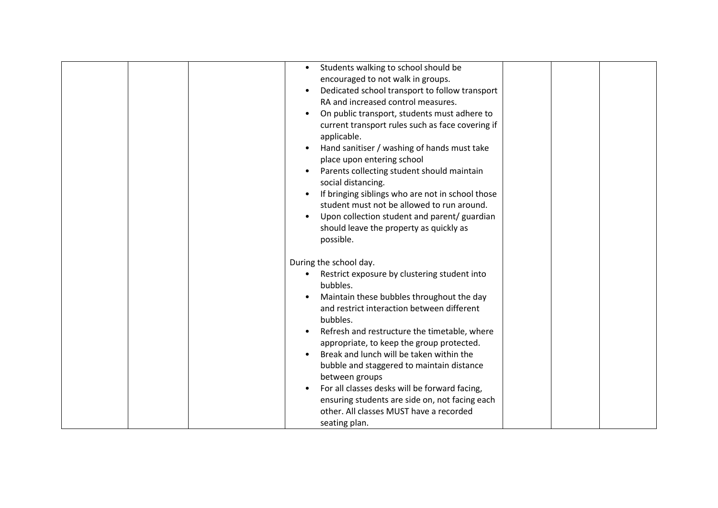|  |           | Students walking to school should be             |  |  |
|--|-----------|--------------------------------------------------|--|--|
|  |           | encouraged to not walk in groups.                |  |  |
|  | $\bullet$ | Dedicated school transport to follow transport   |  |  |
|  |           | RA and increased control measures.               |  |  |
|  | $\bullet$ | On public transport, students must adhere to     |  |  |
|  |           | current transport rules such as face covering if |  |  |
|  |           | applicable.                                      |  |  |
|  |           | Hand sanitiser / washing of hands must take      |  |  |
|  |           | place upon entering school                       |  |  |
|  | $\bullet$ | Parents collecting student should maintain       |  |  |
|  |           | social distancing.                               |  |  |
|  |           | If bringing siblings who are not in school those |  |  |
|  |           | student must not be allowed to run around.       |  |  |
|  |           | Upon collection student and parent/ guardian     |  |  |
|  |           | should leave the property as quickly as          |  |  |
|  |           | possible.                                        |  |  |
|  |           |                                                  |  |  |
|  |           | During the school day.                           |  |  |
|  |           | Restrict exposure by clustering student into     |  |  |
|  |           | bubbles.                                         |  |  |
|  |           | Maintain these bubbles throughout the day        |  |  |
|  |           | and restrict interaction between different       |  |  |
|  |           | bubbles.                                         |  |  |
|  | $\bullet$ | Refresh and restructure the timetable, where     |  |  |
|  |           | appropriate, to keep the group protected.        |  |  |
|  |           | Break and lunch will be taken within the         |  |  |
|  |           | bubble and staggered to maintain distance        |  |  |
|  |           | between groups                                   |  |  |
|  |           | For all classes desks will be forward facing,    |  |  |
|  |           | ensuring students are side on, not facing each   |  |  |
|  |           | other. All classes MUST have a recorded          |  |  |
|  |           | seating plan.                                    |  |  |
|  |           |                                                  |  |  |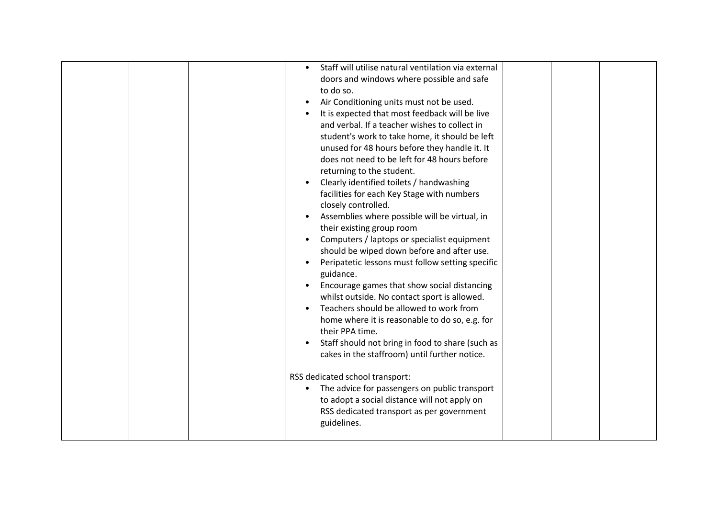| Staff will utilise natural ventilation via external<br>doors and windows where possible and safe<br>to do so.<br>Air Conditioning units must not be used.<br>It is expected that most feedback will be live<br>and verbal. If a teacher wishes to collect in<br>student's work to take home, it should be left<br>unused for 48 hours before they handle it. It<br>does not need to be left for 48 hours before<br>returning to the student.<br>Clearly identified toilets / handwashing<br>facilities for each Key Stage with numbers<br>closely controlled.<br>Assemblies where possible will be virtual, in<br>their existing group room<br>Computers / laptops or specialist equipment<br>should be wiped down before and after use.<br>Peripatetic lessons must follow setting specific<br>guidance.<br>Encourage games that show social distancing<br>whilst outside. No contact sport is allowed.<br>Teachers should be allowed to work from<br>home where it is reasonable to do so, e.g. for<br>their PPA time.<br>Staff should not bring in food to share (such as<br>cakes in the staffroom) until further notice.<br>RSS dedicated school transport:<br>The advice for passengers on public transport |
|-------------------------------------------------------------------------------------------------------------------------------------------------------------------------------------------------------------------------------------------------------------------------------------------------------------------------------------------------------------------------------------------------------------------------------------------------------------------------------------------------------------------------------------------------------------------------------------------------------------------------------------------------------------------------------------------------------------------------------------------------------------------------------------------------------------------------------------------------------------------------------------------------------------------------------------------------------------------------------------------------------------------------------------------------------------------------------------------------------------------------------------------------------------------------------------------------------------------|
|-------------------------------------------------------------------------------------------------------------------------------------------------------------------------------------------------------------------------------------------------------------------------------------------------------------------------------------------------------------------------------------------------------------------------------------------------------------------------------------------------------------------------------------------------------------------------------------------------------------------------------------------------------------------------------------------------------------------------------------------------------------------------------------------------------------------------------------------------------------------------------------------------------------------------------------------------------------------------------------------------------------------------------------------------------------------------------------------------------------------------------------------------------------------------------------------------------------------|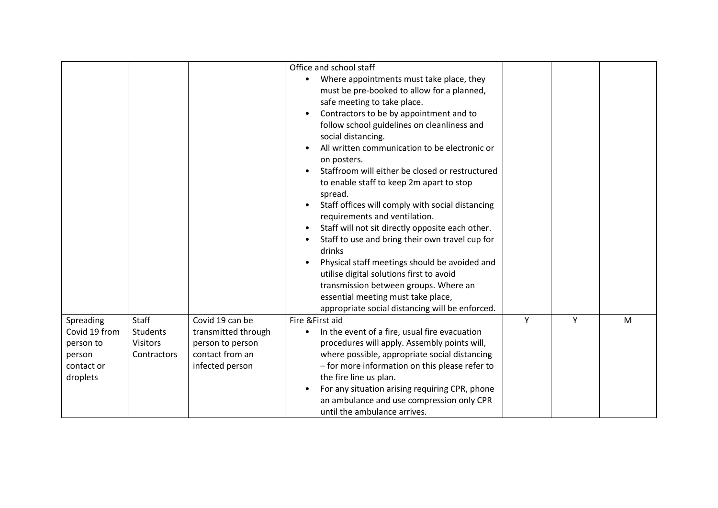|                                                                             |                                                     |                                                                                                  | Office and school staff<br>Where appointments must take place, they<br>must be pre-booked to allow for a planned,<br>safe meeting to take place.<br>Contractors to be by appointment and to<br>follow school guidelines on cleanliness and<br>social distancing.<br>All written communication to be electronic or<br>on posters.<br>Staffroom will either be closed or restructured<br>to enable staff to keep 2m apart to stop<br>spread.<br>Staff offices will comply with social distancing<br>requirements and ventilation.<br>Staff will not sit directly opposite each other.<br>Staff to use and bring their own travel cup for<br>drinks<br>Physical staff meetings should be avoided and<br>utilise digital solutions first to avoid<br>transmission between groups. Where an<br>essential meeting must take place,<br>appropriate social distancing will be enforced. |   |   |   |
|-----------------------------------------------------------------------------|-----------------------------------------------------|--------------------------------------------------------------------------------------------------|---------------------------------------------------------------------------------------------------------------------------------------------------------------------------------------------------------------------------------------------------------------------------------------------------------------------------------------------------------------------------------------------------------------------------------------------------------------------------------------------------------------------------------------------------------------------------------------------------------------------------------------------------------------------------------------------------------------------------------------------------------------------------------------------------------------------------------------------------------------------------------|---|---|---|
| Spreading<br>Covid 19 from<br>person to<br>person<br>contact or<br>droplets | <b>Staff</b><br>Students<br>Visitors<br>Contractors | Covid 19 can be<br>transmitted through<br>person to person<br>contact from an<br>infected person | Fire & First aid<br>In the event of a fire, usual fire evacuation<br>procedures will apply. Assembly points will,<br>where possible, appropriate social distancing<br>- for more information on this please refer to<br>the fire line us plan.<br>For any situation arising requiring CPR, phone<br>an ambulance and use compression only CPR<br>until the ambulance arrives.                                                                                                                                                                                                                                                                                                                                                                                                                                                                                                   | Y | Y | M |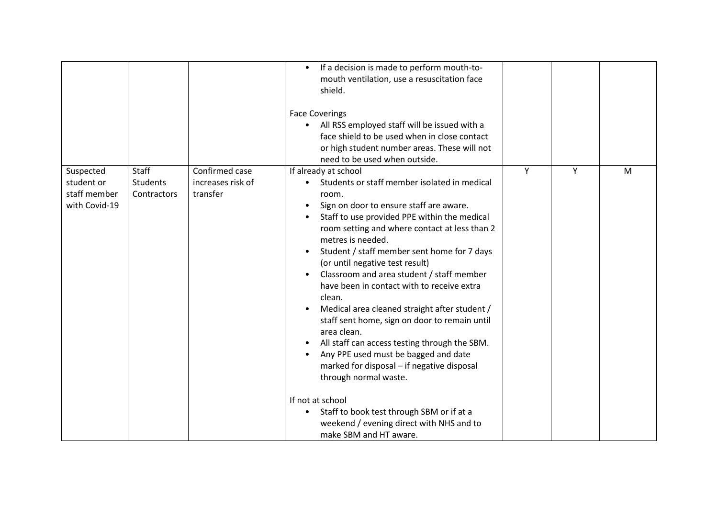|                                                          |                                         |                                                 | If a decision is made to perform mouth-to-<br>$\bullet$<br>mouth ventilation, use a resuscitation face<br>shield.<br><b>Face Coverings</b><br>All RSS employed staff will be issued with a<br>face shield to be used when in close contact<br>or high student number areas. These will not<br>need to be used when outside.                                                                                                                                                                                                                                                                                                                                                                                                                                                                                                                                                                          |   |   |   |
|----------------------------------------------------------|-----------------------------------------|-------------------------------------------------|------------------------------------------------------------------------------------------------------------------------------------------------------------------------------------------------------------------------------------------------------------------------------------------------------------------------------------------------------------------------------------------------------------------------------------------------------------------------------------------------------------------------------------------------------------------------------------------------------------------------------------------------------------------------------------------------------------------------------------------------------------------------------------------------------------------------------------------------------------------------------------------------------|---|---|---|
| Suspected<br>student or<br>staff member<br>with Covid-19 | Staff<br><b>Students</b><br>Contractors | Confirmed case<br>increases risk of<br>transfer | If already at school<br>Students or staff member isolated in medical<br>room.<br>Sign on door to ensure staff are aware.<br>$\bullet$<br>Staff to use provided PPE within the medical<br>$\bullet$<br>room setting and where contact at less than 2<br>metres is needed.<br>Student / staff member sent home for 7 days<br>(or until negative test result)<br>Classroom and area student / staff member<br>have been in contact with to receive extra<br>clean.<br>Medical area cleaned straight after student /<br>staff sent home, sign on door to remain until<br>area clean.<br>All staff can access testing through the SBM.<br>$\bullet$<br>Any PPE used must be bagged and date<br>marked for disposal - if negative disposal<br>through normal waste.<br>If not at school<br>Staff to book test through SBM or if at a<br>weekend / evening direct with NHS and to<br>make SBM and HT aware. | Y | Y | M |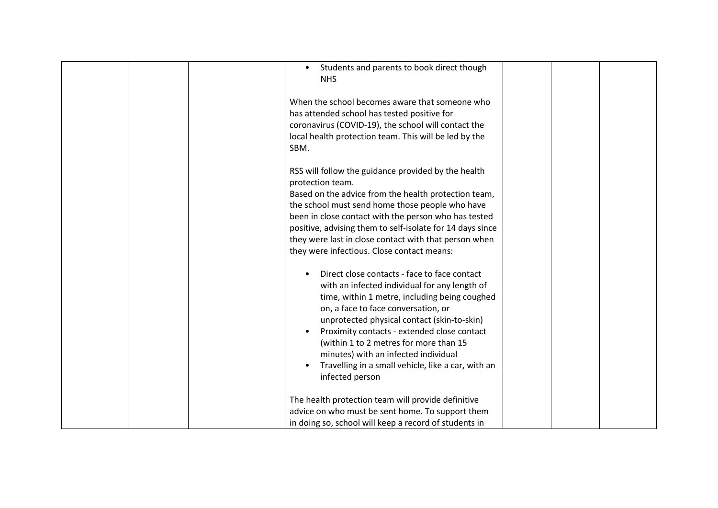| Students and parents to book direct though<br>$\bullet$<br><b>NHS</b>                                                                                                                                                                                                                                                                                                                                                                          |  |
|------------------------------------------------------------------------------------------------------------------------------------------------------------------------------------------------------------------------------------------------------------------------------------------------------------------------------------------------------------------------------------------------------------------------------------------------|--|
| When the school becomes aware that someone who<br>has attended school has tested positive for<br>coronavirus (COVID-19), the school will contact the<br>local health protection team. This will be led by the<br>SBM.                                                                                                                                                                                                                          |  |
| RSS will follow the guidance provided by the health<br>protection team.<br>Based on the advice from the health protection team,<br>the school must send home those people who have<br>been in close contact with the person who has tested<br>positive, advising them to self-isolate for 14 days since<br>they were last in close contact with that person when<br>they were infectious. Close contact means:                                 |  |
| Direct close contacts - face to face contact<br>with an infected individual for any length of<br>time, within 1 metre, including being coughed<br>on, a face to face conversation, or<br>unprotected physical contact (skin-to-skin)<br>Proximity contacts - extended close contact<br>(within 1 to 2 metres for more than 15<br>minutes) with an infected individual<br>Travelling in a small vehicle, like a car, with an<br>infected person |  |
| The health protection team will provide definitive<br>advice on who must be sent home. To support them<br>in doing so, school will keep a record of students in                                                                                                                                                                                                                                                                                |  |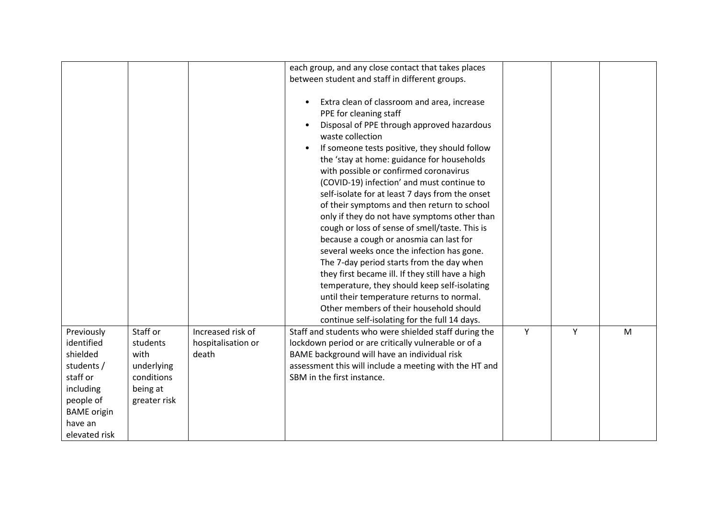|                                                                                                                                            |                                                                                      |                                                  | each group, and any close contact that takes places                                                                                                                                                                                                                                                                                                                                                                                                                                                                                                                                                                                                                                                                                                                                                                                                                                                                    |   |   |   |
|--------------------------------------------------------------------------------------------------------------------------------------------|--------------------------------------------------------------------------------------|--------------------------------------------------|------------------------------------------------------------------------------------------------------------------------------------------------------------------------------------------------------------------------------------------------------------------------------------------------------------------------------------------------------------------------------------------------------------------------------------------------------------------------------------------------------------------------------------------------------------------------------------------------------------------------------------------------------------------------------------------------------------------------------------------------------------------------------------------------------------------------------------------------------------------------------------------------------------------------|---|---|---|
|                                                                                                                                            |                                                                                      |                                                  | between student and staff in different groups.                                                                                                                                                                                                                                                                                                                                                                                                                                                                                                                                                                                                                                                                                                                                                                                                                                                                         |   |   |   |
|                                                                                                                                            |                                                                                      |                                                  | Extra clean of classroom and area, increase<br>PPE for cleaning staff<br>Disposal of PPE through approved hazardous<br>waste collection<br>If someone tests positive, they should follow<br>the 'stay at home: guidance for households<br>with possible or confirmed coronavirus<br>(COVID-19) infection' and must continue to<br>self-isolate for at least 7 days from the onset<br>of their symptoms and then return to school<br>only if they do not have symptoms other than<br>cough or loss of sense of smell/taste. This is<br>because a cough or anosmia can last for<br>several weeks once the infection has gone.<br>The 7-day period starts from the day when<br>they first became ill. If they still have a high<br>temperature, they should keep self-isolating<br>until their temperature returns to normal.<br>Other members of their household should<br>continue self-isolating for the full 14 days. |   |   |   |
| Previously<br>identified<br>shielded<br>students /<br>staff or<br>including<br>people of<br><b>BAME</b> origin<br>have an<br>elevated risk | Staff or<br>students<br>with<br>underlying<br>conditions<br>being at<br>greater risk | Increased risk of<br>hospitalisation or<br>death | Staff and students who were shielded staff during the<br>lockdown period or are critically vulnerable or of a<br>BAME background will have an individual risk<br>assessment this will include a meeting with the HT and<br>SBM in the first instance.                                                                                                                                                                                                                                                                                                                                                                                                                                                                                                                                                                                                                                                                  | Υ | Y | M |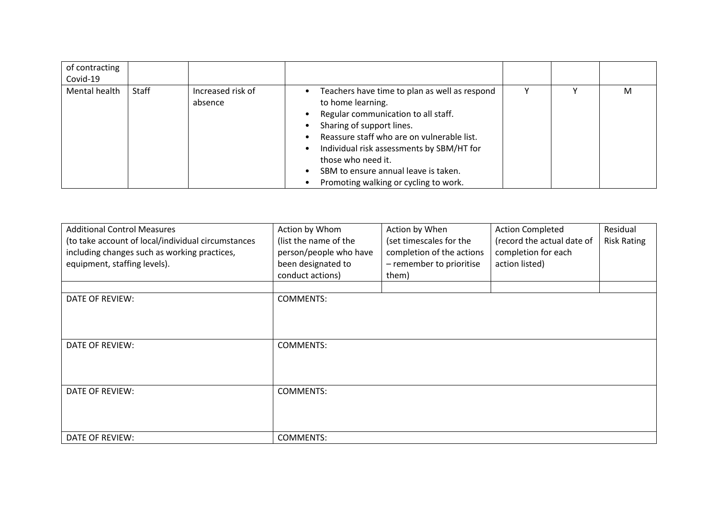| of contracting<br>Covid-19 |       |                              |                                                                                                                                                                                                                                                                                                                                          |  |   |
|----------------------------|-------|------------------------------|------------------------------------------------------------------------------------------------------------------------------------------------------------------------------------------------------------------------------------------------------------------------------------------------------------------------------------------|--|---|
| Mental health              | Staff | Increased risk of<br>absence | Teachers have time to plan as well as respond<br>to home learning.<br>Regular communication to all staff.<br>Sharing of support lines.<br>Reassure staff who are on vulnerable list.<br>Individual risk assessments by SBM/HT for<br>those who need it.<br>SBM to ensure annual leave is taken.<br>Promoting walking or cycling to work. |  | M |

| <b>Additional Control Measures</b><br>(to take account of local/individual circumstances<br>including changes such as working practices,<br>equipment, staffing levels). | Action by Whom<br>(list the name of the<br>person/people who have<br>been designated to<br>conduct actions) | Action by When<br>(set timescales for the<br>completion of the actions<br>- remember to prioritise<br>them) | <b>Action Completed</b><br>(record the actual date of<br>completion for each<br>action listed) | Residual<br><b>Risk Rating</b> |
|--------------------------------------------------------------------------------------------------------------------------------------------------------------------------|-------------------------------------------------------------------------------------------------------------|-------------------------------------------------------------------------------------------------------------|------------------------------------------------------------------------------------------------|--------------------------------|
| DATE OF REVIEW:                                                                                                                                                          | <b>COMMENTS:</b>                                                                                            |                                                                                                             |                                                                                                |                                |
| DATE OF REVIEW:                                                                                                                                                          | <b>COMMENTS:</b>                                                                                            |                                                                                                             |                                                                                                |                                |
| DATE OF REVIEW:                                                                                                                                                          | <b>COMMENTS:</b>                                                                                            |                                                                                                             |                                                                                                |                                |
| DATE OF REVIEW:                                                                                                                                                          | <b>COMMENTS:</b>                                                                                            |                                                                                                             |                                                                                                |                                |